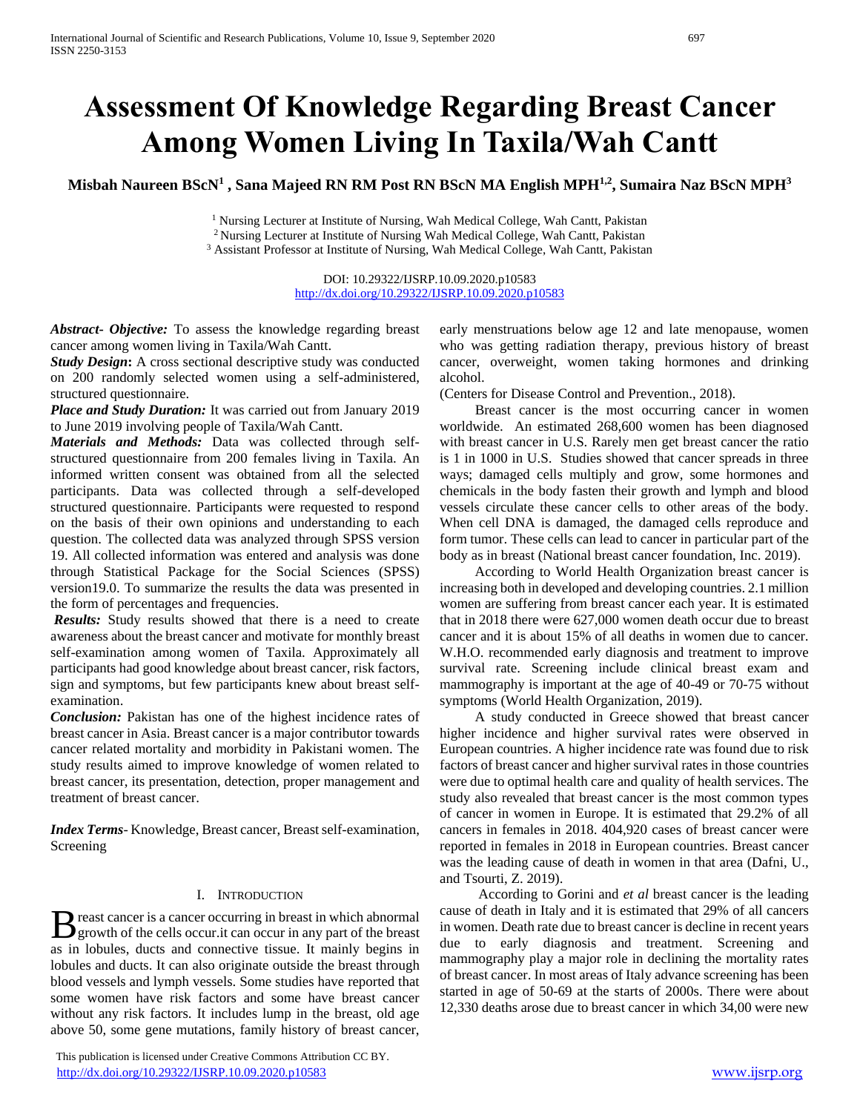# **Assessment Of Knowledge Regarding Breast Cancer Among Women Living In Taxila/Wah Cantt**

**Misbah Naureen BScN<sup>1</sup> , Sana Majeed RN RM Post RN BScN MA English MPH1,2, Sumaira Naz BScN MPH<sup>3</sup>**

<sup>1</sup> Nursing Lecturer at Institute of Nursing, Wah Medical College, Wah Cantt, Pakistan <sup>2</sup> Nursing Lecturer at Institute of Nursing Wah Medical College, Wah Cantt, Pakistan <sup>3</sup> Assistant Professor at Institute of Nursing, Wah Medical College, Wah Cantt, Pakistan

> DOI: 10.29322/IJSRP.10.09.2020.p10583 <http://dx.doi.org/10.29322/IJSRP.10.09.2020.p10583>

*Abstract***-** *Objective:* To assess the knowledge regarding breast cancer among women living in Taxila/Wah Cantt.

*Study Design***:** A cross sectional descriptive study was conducted on 200 randomly selected women using a self-administered, structured questionnaire.

*Place and Study Duration:* It was carried out from January 2019 to June 2019 involving people of Taxila/Wah Cantt.

*Materials and Methods:* Data was collected through selfstructured questionnaire from 200 females living in Taxila. An informed written consent was obtained from all the selected participants. Data was collected through a self-developed structured questionnaire. Participants were requested to respond on the basis of their own opinions and understanding to each question. The collected data was analyzed through SPSS version 19. All collected information was entered and analysis was done through Statistical Package for the Social Sciences (SPSS) version19.0. To summarize the results the data was presented in the form of percentages and frequencies.

*Results:* Study results showed that there is a need to create awareness about the breast cancer and motivate for monthly breast self-examination among women of Taxila. Approximately all participants had good knowledge about breast cancer, risk factors, sign and symptoms, but few participants knew about breast selfexamination.

*Conclusion:* Pakistan has one of the highest incidence rates of breast cancer in Asia. Breast cancer is a major contributor towards cancer related mortality and morbidity in Pakistani women. The study results aimed to improve knowledge of women related to breast cancer, its presentation, detection, proper management and treatment of breast cancer.

*Index Terms*- Knowledge, Breast cancer, Breast self-examination, Screening

#### I. INTRODUCTION

reast cancer is a cancer occurring in breast in which abnormal B reast cancer is a cancer occurring in breast in which abnormal growth of the cells occur it can occur in any part of the breast as in lobules, ducts and connective tissue. It mainly begins in lobules and ducts. It can also originate outside the breast through blood vessels and lymph vessels. Some studies have reported that some women have risk factors and some have breast cancer without any risk factors. It includes lump in the breast, old age above 50, some gene mutations, family history of breast cancer,

 This publication is licensed under Creative Commons Attribution CC BY. <http://dx.doi.org/10.29322/IJSRP.10.09.2020.p10583> [www.ijsrp.org](http://ijsrp.org/)

early menstruations below age 12 and late menopause, women who was getting radiation therapy, previous history of breast cancer, overweight, women taking hormones and drinking alcohol.

(Centers for Disease Control and Prevention., 2018).

 Breast cancer is the most occurring cancer in women worldwide. An estimated 268,600 women has been diagnosed with breast cancer in U.S. Rarely men get breast cancer the ratio is 1 in 1000 in U.S. Studies showed that cancer spreads in three ways; damaged cells multiply and grow, some hormones and chemicals in the body fasten their growth and lymph and blood vessels circulate these cancer cells to other areas of the body. When cell DNA is damaged, the damaged cells reproduce and form tumor. These cells can lead to cancer in particular part of the body as in breast (National breast cancer foundation, Inc. 2019).

 According to World Health Organization breast cancer is increasing both in developed and developing countries. 2.1 million women are suffering from breast cancer each year. It is estimated that in 2018 there were 627,000 women death occur due to breast cancer and it is about 15% of all deaths in women due to cancer. W.H.O. recommended early diagnosis and treatment to improve survival rate. Screening include clinical breast exam and mammography is important at the age of 40-49 or 70-75 without symptoms (World Health Organization, 2019).

 A study conducted in Greece showed that breast cancer higher incidence and higher survival rates were observed in European countries. A higher incidence rate was found due to risk factors of breast cancer and higher survival rates in those countries were due to optimal health care and quality of health services. The study also revealed that breast cancer is the most common types of cancer in women in Europe. It is estimated that 29.2% of all cancers in females in 2018. 404,920 cases of breast cancer were reported in females in 2018 in European countries. Breast cancer was the leading cause of death in women in that area (Dafni, U., and Tsourti, Z. 2019).

 According to Gorini and *et al* breast cancer is the leading cause of death in Italy and it is estimated that 29% of all cancers in women. Death rate due to breast cancer is decline in recent years due to early diagnosis and treatment. Screening and mammography play a major role in declining the mortality rates of breast cancer. In most areas of Italy advance screening has been started in age of 50-69 at the starts of 2000s. There were about 12,330 deaths arose due to breast cancer in which 34,00 were new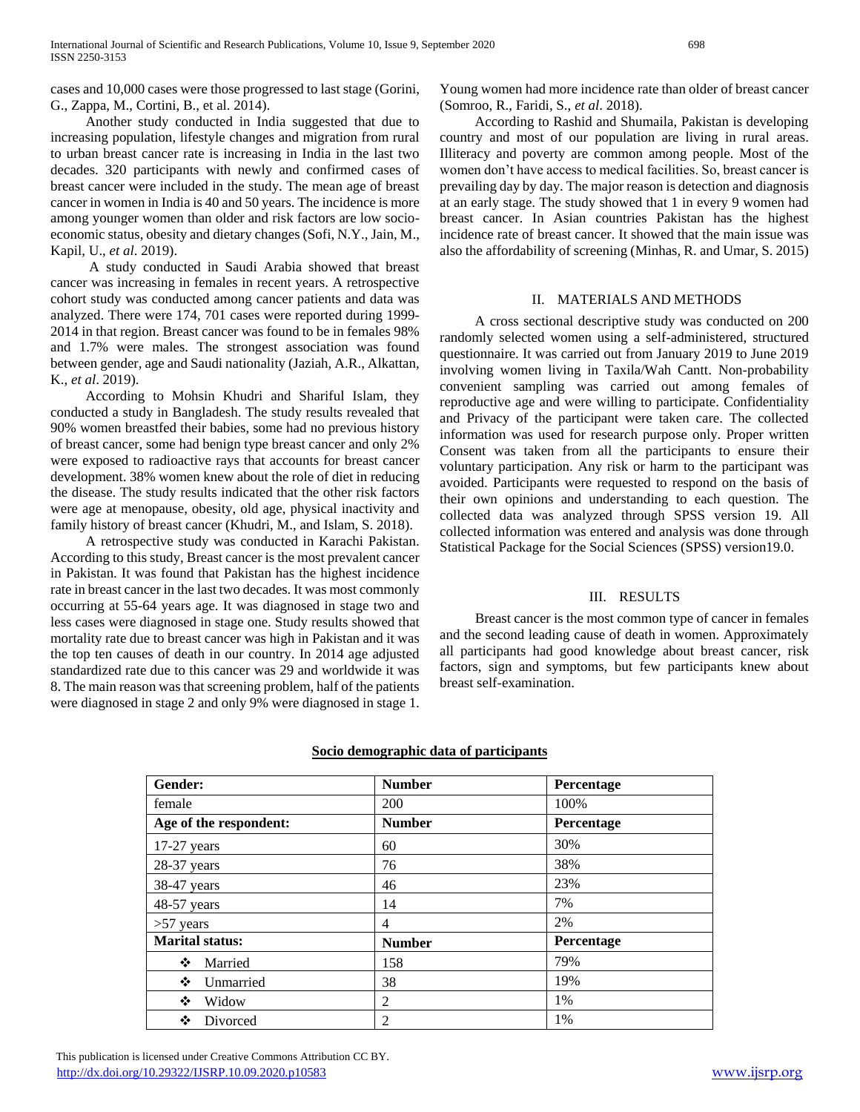cases and 10,000 cases were those progressed to last stage (Gorini, G., Zappa, M., Cortini, B., et al. 2014).

 Another study conducted in India suggested that due to increasing population, lifestyle changes and migration from rural to urban breast cancer rate is increasing in India in the last two decades. 320 participants with newly and confirmed cases of breast cancer were included in the study. The mean age of breast cancer in women in India is 40 and 50 years. The incidence is more among younger women than older and risk factors are low socioeconomic status, obesity and dietary changes (Sofi, N.Y., Jain, M., Kapil, U., *et al*. 2019).

 A study conducted in Saudi Arabia showed that breast cancer was increasing in females in recent years. A retrospective cohort study was conducted among cancer patients and data was analyzed. There were 174, 701 cases were reported during 1999- 2014 in that region. Breast cancer was found to be in females 98% and 1.7% were males. The strongest association was found between gender, age and Saudi nationality (Jaziah, A.R., Alkattan, K., *et al*. 2019).

 According to Mohsin Khudri and Shariful Islam, they conducted a study in Bangladesh. The study results revealed that 90% women breastfed their babies, some had no previous history of breast cancer, some had benign type breast cancer and only 2% were exposed to radioactive rays that accounts for breast cancer development. 38% women knew about the role of diet in reducing the disease. The study results indicated that the other risk factors were age at menopause, obesity, old age, physical inactivity and family history of breast cancer (Khudri, M., and Islam, S. 2018).

 A retrospective study was conducted in Karachi Pakistan. According to this study, Breast cancer is the most prevalent cancer in Pakistan. It was found that Pakistan has the highest incidence rate in breast cancer in the last two decades. It was most commonly occurring at 55-64 years age. It was diagnosed in stage two and less cases were diagnosed in stage one. Study results showed that mortality rate due to breast cancer was high in Pakistan and it was the top ten causes of death in our country. In 2014 age adjusted standardized rate due to this cancer was 29 and worldwide it was 8. The main reason was that screening problem, half of the patients were diagnosed in stage 2 and only 9% were diagnosed in stage 1.

Young women had more incidence rate than older of breast cancer (Somroo, R., Faridi, S., *et al*. 2018).

 According to Rashid and Shumaila, Pakistan is developing country and most of our population are living in rural areas. Illiteracy and poverty are common among people. Most of the women don't have access to medical facilities. So, breast cancer is prevailing day by day. The major reason is detection and diagnosis at an early stage. The study showed that 1 in every 9 women had breast cancer. In Asian countries Pakistan has the highest incidence rate of breast cancer. It showed that the main issue was also the affordability of screening (Minhas, R. and Umar, S. 2015)

#### II. MATERIALS AND METHODS

 A cross sectional descriptive study was conducted on 200 randomly selected women using a self-administered, structured questionnaire. It was carried out from January 2019 to June 2019 involving women living in Taxila/Wah Cantt. Non-probability convenient sampling was carried out among females of reproductive age and were willing to participate. Confidentiality and Privacy of the participant were taken care. The collected information was used for research purpose only. Proper written Consent was taken from all the participants to ensure their voluntary participation. Any risk or harm to the participant was avoided. Participants were requested to respond on the basis of their own opinions and understanding to each question. The collected data was analyzed through SPSS version 19. All collected information was entered and analysis was done through Statistical Package for the Social Sciences (SPSS) version19.0.

#### III. RESULTS

 Breast cancer is the most common type of cancer in females and the second leading cause of death in women. Approximately all participants had good knowledge about breast cancer, risk factors, sign and symptoms, but few participants knew about breast self-examination.

| Gender:                | <b>Number</b> | Percentage |
|------------------------|---------------|------------|
| female                 | 200           | 100%       |
| Age of the respondent: | <b>Number</b> | Percentage |
| $17-27$ years          | 60            | 30%        |
| 28-37 years            | 76            | 38%        |
| 38-47 years            | 46            | 23%        |
| 48-57 years            | 14            | 7%         |
| $>57$ years            | 4             | 2%         |
| <b>Marital status:</b> | <b>Number</b> | Percentage |
| ❖<br>Married           | 158           | 79%        |
| ❖<br>Unmarried         | 38            | 19%        |
| ❖<br>Widow             | 2             | 1%         |
| ❖<br>Divorced          | 2             | 1%         |

#### **Socio demographic data of participants**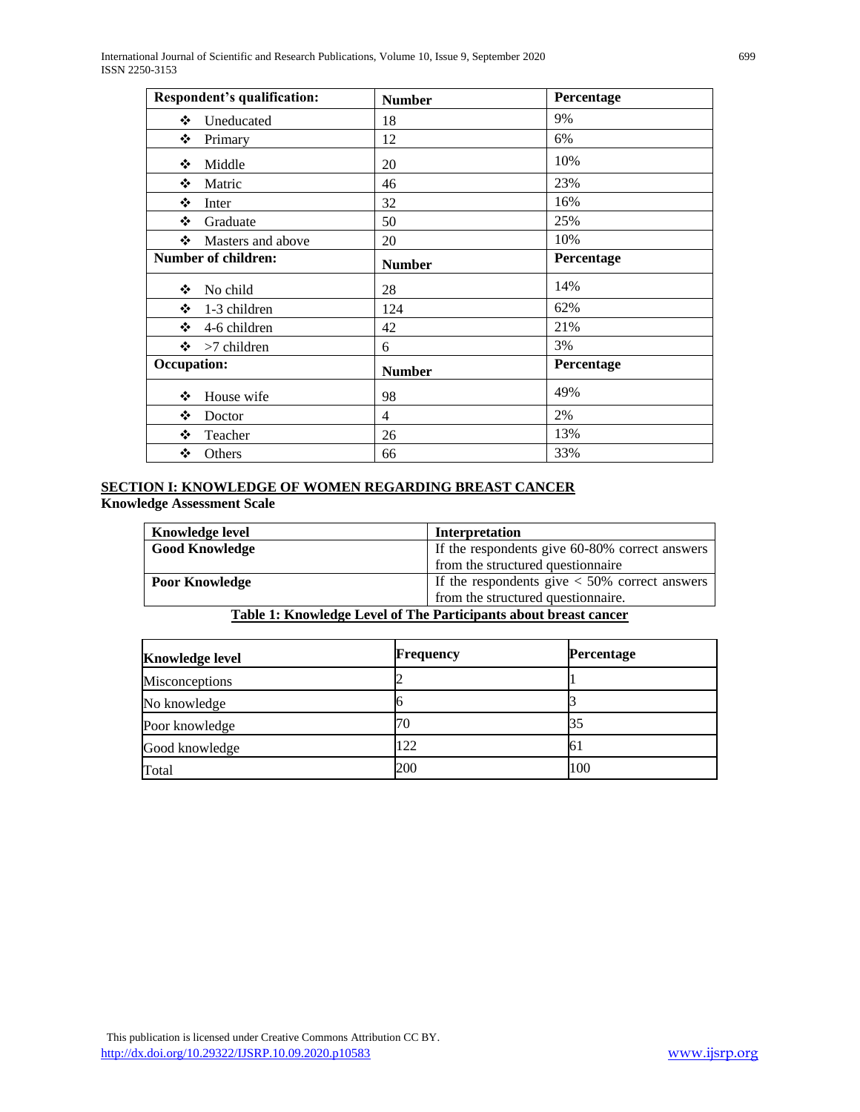International Journal of Scientific and Research Publications, Volume 10, Issue 9, September 2020 699 ISSN 2250-3153

| Respondent's qualification: | <b>Number</b> | Percentage |
|-----------------------------|---------------|------------|
| ❖<br>Uneducated             | 18            | 9%         |
| ❖<br>Primary                | 12            | 6%         |
| Middle<br>❖                 | 20            | 10%        |
| ❖<br>Matric                 | 46            | 23%        |
| ❖<br>Inter                  | 32            | 16%        |
| ❖<br>Graduate               | 50            | 25%        |
| ❖ Masters and above         | 20            | 10%        |
| <b>Number of children:</b>  | <b>Number</b> | Percentage |
| ❖<br>No child               | 28            | 14%        |
| ❖<br>1-3 children           | 124           | 62%        |
| <b>AND</b><br>4-6 children  | 42            | 21%        |
| $\div$ >7 children          | 6             | 3%         |
| <b>Occupation:</b>          | <b>Number</b> | Percentage |
| ❖<br>House wife             | 98            | 49%        |
| ❖<br>Doctor                 | 4             | 2%         |
| ❖<br>Teacher                | 26            | 13%        |
| ❖<br>Others                 | 66            | 33%        |

# **SECTION I: KNOWLEDGE OF WOMEN REGARDING BREAST CANCER Knowledge Assessment Scale**

| <b>Knowledge level</b> | Interpretation                                    |
|------------------------|---------------------------------------------------|
| <b>Good Knowledge</b>  | If the respondents give 60-80% correct answers    |
|                        | from the structured questionnaire                 |
| <b>Poor Knowledge</b>  | If the respondents give $\lt$ 50% correct answers |
|                        | from the structured questionnaire.                |

# **Table 1: Knowledge Level of The Participants about breast cancer**

| <b>Knowledge level</b> | <b>Frequency</b> | Percentage |
|------------------------|------------------|------------|
| <b>Misconceptions</b>  |                  |            |
| No knowledge           |                  |            |
| Poor knowledge         | 70               | 35         |
| Good knowledge         | 122              | 6 I        |
| Total                  | 200              | 100        |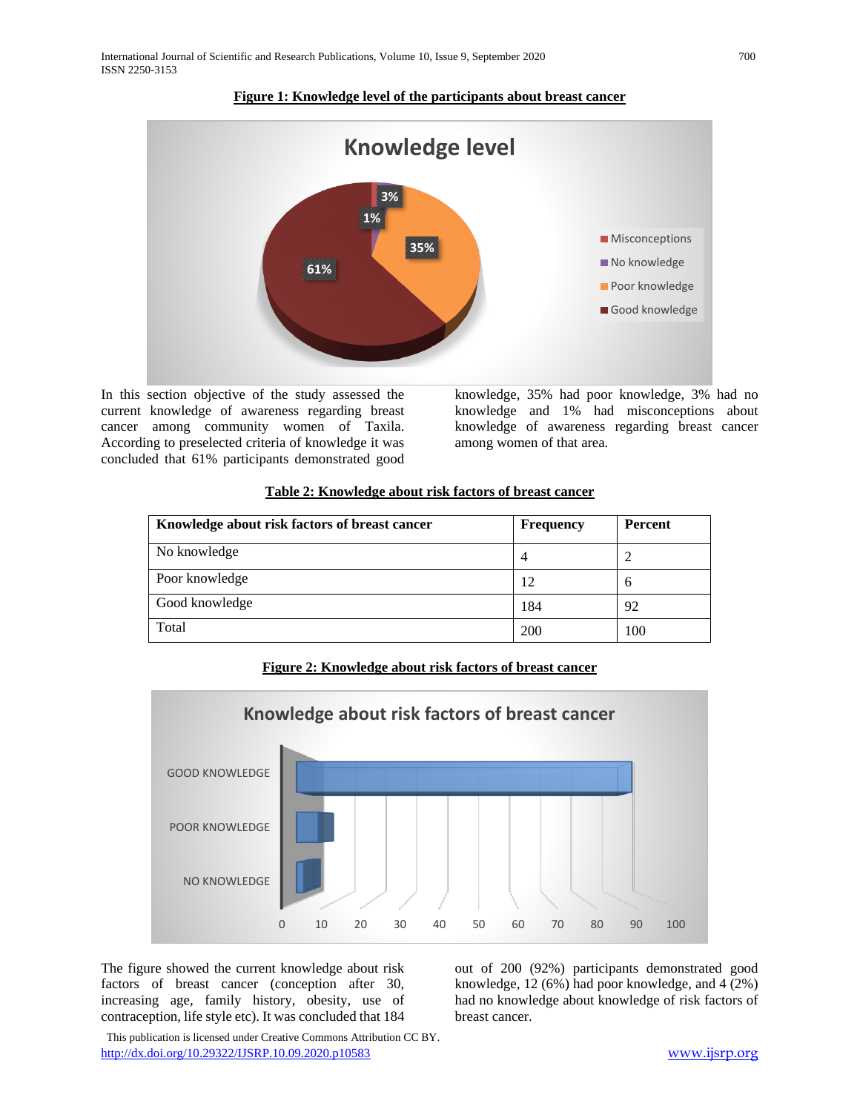

# **Figure 1: Knowledge level of the participants about breast cancer**

In this section objective of the study assessed the current knowledge of awareness regarding breast cancer among community women of Taxila. According to preselected criteria of knowledge it was concluded that 61% participants demonstrated good

knowledge, 35% had poor knowledge, 3% had no knowledge and 1% had misconceptions about knowledge of awareness regarding breast cancer among women of that area.

# **Table 2: Knowledge about risk factors of breast cancer**

| Knowledge about risk factors of breast cancer | <b>Frequency</b> | <b>Percent</b> |
|-----------------------------------------------|------------------|----------------|
| No knowledge                                  | 4                |                |
| Poor knowledge                                | 12               | h              |
| Good knowledge                                | 184              | 92             |
| Total                                         | 200              | 100            |

**Figure 2: Knowledge about risk factors of breast cancer**



The figure showed the current knowledge about risk factors of breast cancer (conception after 30, increasing age, family history, obesity, use of contraception, life style etc). It was concluded that 184 out of 200 (92%) participants demonstrated good knowledge, 12 (6%) had poor knowledge, and 4 (2%) had no knowledge about knowledge of risk factors of breast cancer.

 This publication is licensed under Creative Commons Attribution CC BY. <http://dx.doi.org/10.29322/IJSRP.10.09.2020.p10583> [www.ijsrp.org](http://ijsrp.org/)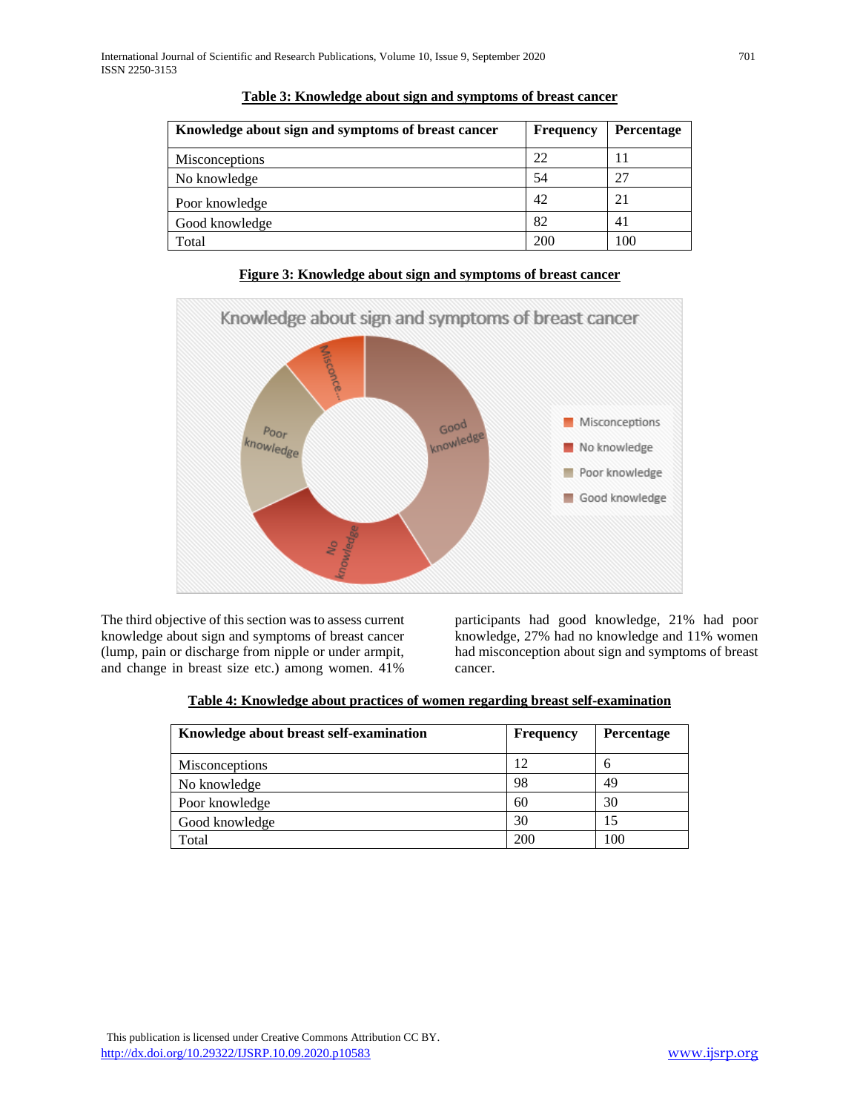| Knowledge about sign and symptoms of breast cancer | <b>Frequency</b> | Percentage |
|----------------------------------------------------|------------------|------------|
| <b>Misconceptions</b>                              | 22               |            |
| No knowledge                                       | 54               | 27         |
| Poor knowledge                                     | 42               | 21         |
| Good knowledge                                     | 82               | 41         |
| Total                                              | 200              | 100        |

**Table 3: Knowledge about sign and symptoms of breast cancer**



### **Figure 3: Knowledge about sign and symptoms of breast cancer**

The third objective of this section was to assess current knowledge about sign and symptoms of breast cancer (lump, pain or discharge from nipple or under armpit, and change in breast size etc.) among women. 41%

participants had good knowledge, 21% had poor knowledge, 27% had no knowledge and 11% women had misconception about sign and symptoms of breast cancer.

| Table 4: Knowledge about practices of women regarding breast self-examination |  |  |  |  |
|-------------------------------------------------------------------------------|--|--|--|--|
|                                                                               |  |  |  |  |

| Knowledge about breast self-examination | <b>Frequency</b> | <b>Percentage</b> |
|-----------------------------------------|------------------|-------------------|
| <b>Misconceptions</b>                   | 12               | h                 |
| No knowledge                            | 98               | 49                |
| Poor knowledge                          | 60               | 30                |
| Good knowledge                          | 30               | 15                |
| Total                                   | 200              | 100               |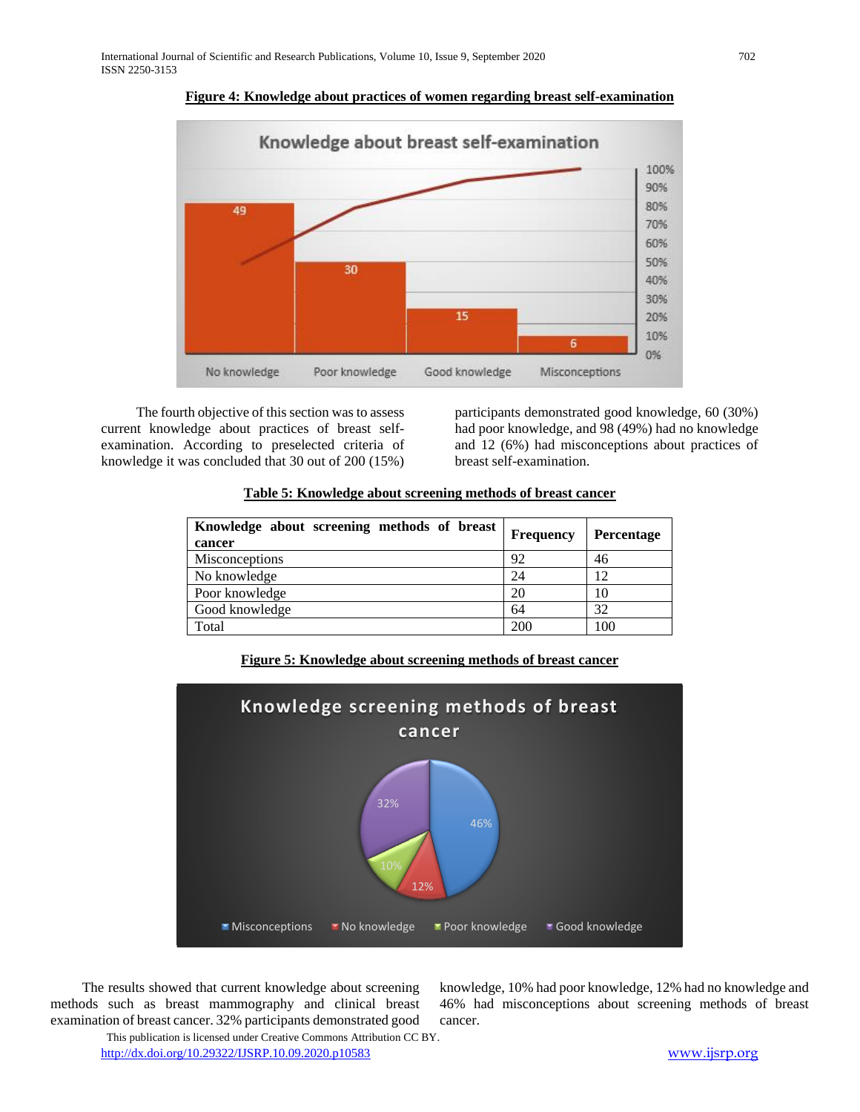

**Figure 4: Knowledge about practices of women regarding breast self-examination**

 The fourth objective of this section was to assess current knowledge about practices of breast selfexamination. According to preselected criteria of knowledge it was concluded that 30 out of 200 (15%)

participants demonstrated good knowledge, 60 (30%) had poor knowledge, and 98 (49%) had no knowledge and 12 (6%) had misconceptions about practices of breast self-examination.

| Table 5: Knowledge about screening methods of breast cancer |
|-------------------------------------------------------------|
|-------------------------------------------------------------|

| Knowledge about screening methods of breast<br>cancer | <b>Frequency</b> | <b>Percentage</b> |
|-------------------------------------------------------|------------------|-------------------|
| <b>Misconceptions</b>                                 | 92               | 46                |
| No knowledge                                          | 24               | 12                |
| Poor knowledge                                        | 20               | 10                |
| Good knowledge                                        | 64               | 32                |
| Total                                                 | 200              | 100               |





 The results showed that current knowledge about screening methods such as breast mammography and clinical breast examination of breast cancer. 32% participants demonstrated good knowledge, 10% had poor knowledge, 12% had no knowledge and 46% had misconceptions about screening methods of breast cancer.